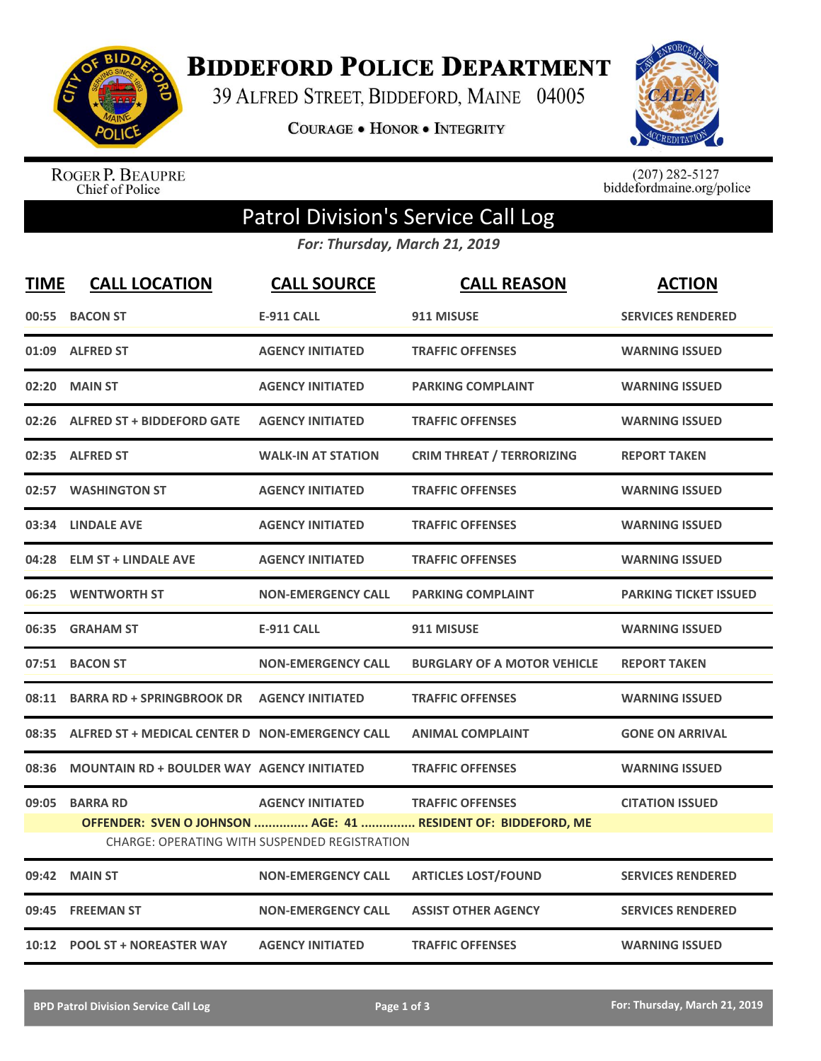

**BIDDEFORD POLICE DEPARTMENT** 

39 ALFRED STREET, BIDDEFORD, MAINE 04005

**COURAGE . HONOR . INTEGRITY** 



ROGER P. BEAUPRE<br>Chief of Police

 $(207)$  282-5127<br>biddefordmaine.org/police

## Patrol Division's Service Call Log

*For: Thursday, March 21, 2019*

| <b>TIME</b> | <b>CALL LOCATION</b>                                | <b>CALL SOURCE</b>                                                       | <b>CALL REASON</b>                                                                       | <b>ACTION</b>                |
|-------------|-----------------------------------------------------|--------------------------------------------------------------------------|------------------------------------------------------------------------------------------|------------------------------|
|             | 00:55 BACON ST                                      | <b>E-911 CALL</b>                                                        | 911 MISUSE                                                                               | <b>SERVICES RENDERED</b>     |
|             | 01:09 ALFRED ST                                     | <b>AGENCY INITIATED</b>                                                  | <b>TRAFFIC OFFENSES</b>                                                                  | <b>WARNING ISSUED</b>        |
|             | 02:20 MAIN ST                                       | <b>AGENCY INITIATED</b>                                                  | <b>PARKING COMPLAINT</b>                                                                 | <b>WARNING ISSUED</b>        |
|             | 02:26 ALFRED ST + BIDDEFORD GATE                    | <b>AGENCY INITIATED</b>                                                  | <b>TRAFFIC OFFENSES</b>                                                                  | <b>WARNING ISSUED</b>        |
|             | 02:35 ALFRED ST                                     | <b>WALK-IN AT STATION</b>                                                | <b>CRIM THREAT / TERRORIZING</b>                                                         | <b>REPORT TAKEN</b>          |
|             | 02:57 WASHINGTON ST                                 | <b>AGENCY INITIATED</b>                                                  | <b>TRAFFIC OFFENSES</b>                                                                  | <b>WARNING ISSUED</b>        |
|             | 03:34 LINDALE AVE                                   | <b>AGENCY INITIATED</b>                                                  | <b>TRAFFIC OFFENSES</b>                                                                  | <b>WARNING ISSUED</b>        |
|             | 04:28 ELM ST + LINDALE AVE                          | <b>AGENCY INITIATED</b>                                                  | <b>TRAFFIC OFFENSES</b>                                                                  | <b>WARNING ISSUED</b>        |
|             | 06:25 WENTWORTH ST                                  | <b>NON-EMERGENCY CALL</b>                                                | <b>PARKING COMPLAINT</b>                                                                 | <b>PARKING TICKET ISSUED</b> |
|             | 06:35 GRAHAM ST                                     | <b>E-911 CALL</b>                                                        | 911 MISUSE                                                                               | <b>WARNING ISSUED</b>        |
|             | 07:51 BACON ST                                      | <b>NON-EMERGENCY CALL</b>                                                | <b>BURGLARY OF A MOTOR VEHICLE</b>                                                       | <b>REPORT TAKEN</b>          |
|             | 08:11 BARRA RD + SPRINGBROOK DR    AGENCY INITIATED |                                                                          | <b>TRAFFIC OFFENSES</b>                                                                  | <b>WARNING ISSUED</b>        |
| 08:35       | ALFRED ST + MEDICAL CENTER D NON-EMERGENCY CALL     |                                                                          | <b>ANIMAL COMPLAINT</b>                                                                  | <b>GONE ON ARRIVAL</b>       |
| 08:36       | <b>MOUNTAIN RD + BOULDER WAY AGENCY INITIATED</b>   |                                                                          | <b>TRAFFIC OFFENSES</b>                                                                  | <b>WARNING ISSUED</b>        |
| 09:05       | <b>BARRA RD</b>                                     | <b>AGENCY INITIATED</b><br>CHARGE: OPERATING WITH SUSPENDED REGISTRATION | <b>TRAFFIC OFFENSES</b><br>OFFENDER: SVEN O JOHNSON  AGE: 41  RESIDENT OF: BIDDEFORD, ME | <b>CITATION ISSUED</b>       |
|             | 09:42 MAIN ST                                       | <b>NON-EMERGENCY CALL</b>                                                | <b>ARTICLES LOST/FOUND</b>                                                               | <b>SERVICES RENDERED</b>     |
| 09:45       | <b>FREEMAN ST</b>                                   | <b>NON-EMERGENCY CALL</b>                                                | <b>ASSIST OTHER AGENCY</b>                                                               | <b>SERVICES RENDERED</b>     |
|             | 10:12 POOL ST + NOREASTER WAY                       | <b>AGENCY INITIATED</b>                                                  | <b>TRAFFIC OFFENSES</b>                                                                  | <b>WARNING ISSUED</b>        |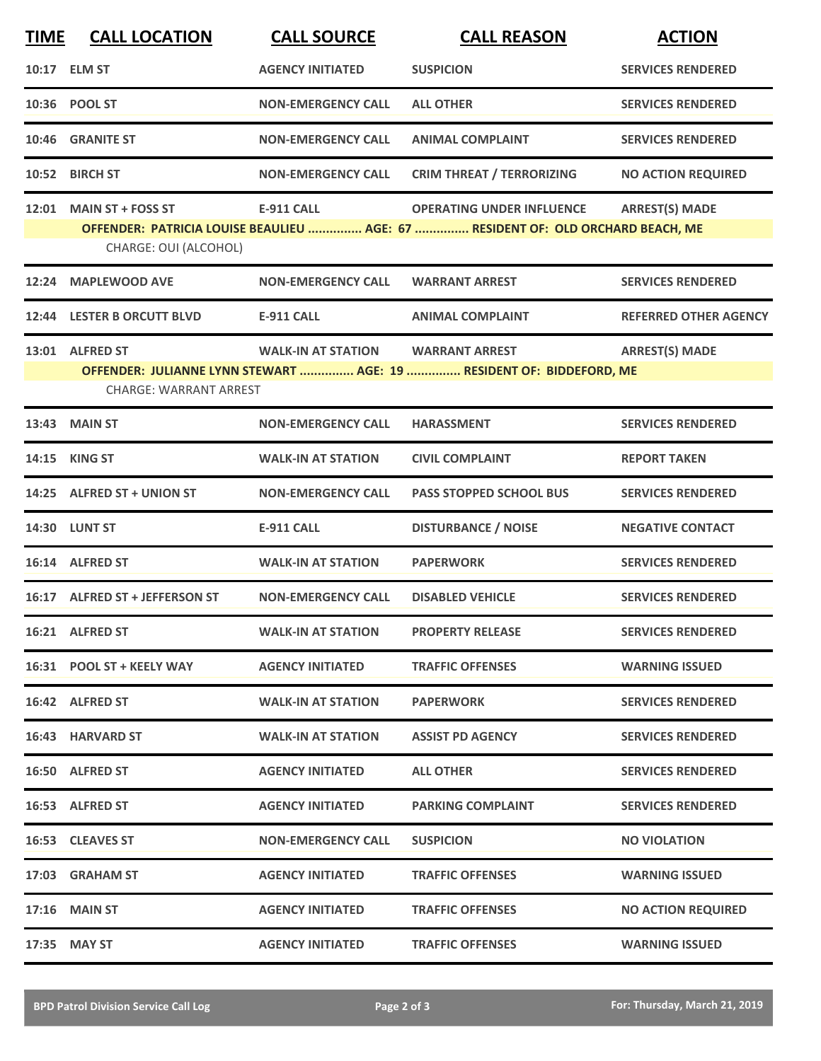| <b>TIME</b> | <b>CALL LOCATION</b>                              | <b>CALL SOURCE</b>        | <b>CALL REASON</b>                                                                                                  | <b>ACTION</b>                |
|-------------|---------------------------------------------------|---------------------------|---------------------------------------------------------------------------------------------------------------------|------------------------------|
|             | 10:17 ELM ST                                      | <b>AGENCY INITIATED</b>   | <b>SUSPICION</b>                                                                                                    | <b>SERVICES RENDERED</b>     |
|             | 10:36 POOL ST                                     | <b>NON-EMERGENCY CALL</b> | <b>ALL OTHER</b>                                                                                                    | <b>SERVICES RENDERED</b>     |
| 10:46       | <b>GRANITE ST</b>                                 | <b>NON-EMERGENCY CALL</b> | <b>ANIMAL COMPLAINT</b>                                                                                             | <b>SERVICES RENDERED</b>     |
|             | 10:52 BIRCH ST                                    | <b>NON-EMERGENCY CALL</b> | <b>CRIM THREAT / TERRORIZING</b>                                                                                    | <b>NO ACTION REQUIRED</b>    |
| 12:01       | <b>MAIN ST + FOSS ST</b><br>CHARGE: OUI (ALCOHOL) | <b>E-911 CALL</b>         | <b>OPERATING UNDER INFLUENCE</b><br>OFFENDER: PATRICIA LOUISE BEAULIEU  AGE: 67  RESIDENT OF: OLD ORCHARD BEACH, ME | <b>ARREST(S) MADE</b>        |
| 12:24       | <b>MAPLEWOOD AVE</b>                              | <b>NON-EMERGENCY CALL</b> | <b>WARRANT ARREST</b>                                                                                               | <b>SERVICES RENDERED</b>     |
|             | 12:44 LESTER B ORCUTT BLVD                        | <b>E-911 CALL</b>         | <b>ANIMAL COMPLAINT</b>                                                                                             | <b>REFERRED OTHER AGENCY</b> |
|             | 13:01 ALFRED ST<br><b>CHARGE: WARRANT ARREST</b>  | <b>WALK-IN AT STATION</b> | <b>WARRANT ARREST</b><br>OFFENDER: JULIANNE LYNN STEWART  AGE: 19  RESIDENT OF: BIDDEFORD, ME                       | <b>ARREST(S) MADE</b>        |
| 13:43       | <b>MAIN ST</b>                                    | <b>NON-EMERGENCY CALL</b> | <b>HARASSMENT</b>                                                                                                   | <b>SERVICES RENDERED</b>     |
| 14:15       | <b>KING ST</b>                                    | <b>WALK-IN AT STATION</b> | <b>CIVIL COMPLAINT</b>                                                                                              | <b>REPORT TAKEN</b>          |
| 14:25       | <b>ALFRED ST + UNION ST</b>                       | <b>NON-EMERGENCY CALL</b> | <b>PASS STOPPED SCHOOL BUS</b>                                                                                      | <b>SERVICES RENDERED</b>     |
|             | <b>14:30 LUNT ST</b>                              | <b>E-911 CALL</b>         | <b>DISTURBANCE / NOISE</b>                                                                                          | <b>NEGATIVE CONTACT</b>      |
|             | 16:14 ALFRED ST                                   | <b>WALK-IN AT STATION</b> | <b>PAPERWORK</b>                                                                                                    | <b>SERVICES RENDERED</b>     |
|             | 16:17 ALFRED ST + JEFFERSON ST                    | <b>NON-EMERGENCY CALL</b> | <b>DISABLED VEHICLE</b>                                                                                             | <b>SERVICES RENDERED</b>     |
|             | 16:21 ALFRED ST                                   | <b>WALK-IN AT STATION</b> | <b>PROPERTY RELEASE</b>                                                                                             | <b>SERVICES RENDERED</b>     |
|             | 16:31 POOL ST + KEELY WAY                         | <b>AGENCY INITIATED</b>   | <b>TRAFFIC OFFENSES</b>                                                                                             | <b>WARNING ISSUED</b>        |
|             | 16:42 ALFRED ST                                   | <b>WALK-IN AT STATION</b> | <b>PAPERWORK</b>                                                                                                    | <b>SERVICES RENDERED</b>     |
|             | 16:43 HARVARD ST                                  | <b>WALK-IN AT STATION</b> | <b>ASSIST PD AGENCY</b>                                                                                             | <b>SERVICES RENDERED</b>     |
|             | 16:50 ALFRED ST                                   | <b>AGENCY INITIATED</b>   | <b>ALL OTHER</b>                                                                                                    | <b>SERVICES RENDERED</b>     |
|             | 16:53 ALFRED ST                                   | <b>AGENCY INITIATED</b>   | <b>PARKING COMPLAINT</b>                                                                                            | <b>SERVICES RENDERED</b>     |
|             | 16:53 CLEAVES ST                                  | <b>NON-EMERGENCY CALL</b> | <b>SUSPICION</b>                                                                                                    | <b>NO VIOLATION</b>          |
|             | 17:03 GRAHAM ST                                   | <b>AGENCY INITIATED</b>   | <b>TRAFFIC OFFENSES</b>                                                                                             | <b>WARNING ISSUED</b>        |
|             | <b>17:16 MAIN ST</b>                              | <b>AGENCY INITIATED</b>   | <b>TRAFFIC OFFENSES</b>                                                                                             | <b>NO ACTION REQUIRED</b>    |
|             | 17:35 MAY ST                                      | <b>AGENCY INITIATED</b>   | <b>TRAFFIC OFFENSES</b>                                                                                             | <b>WARNING ISSUED</b>        |